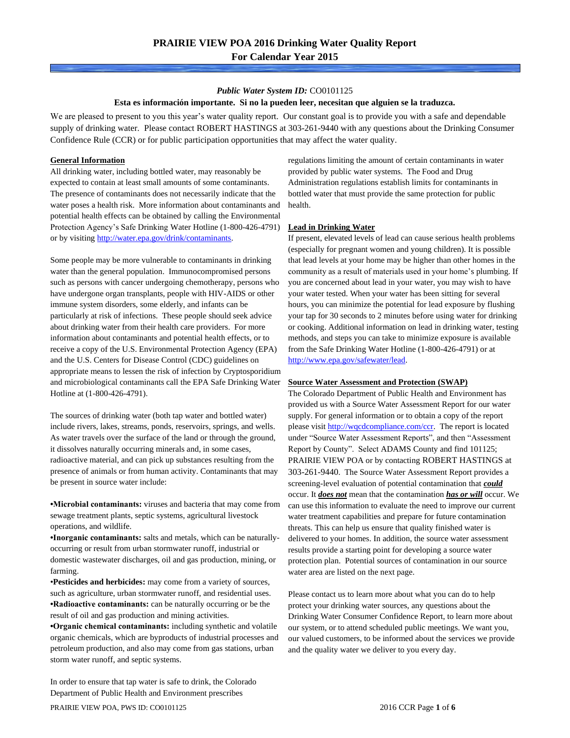### *Public Water System ID:* CO0101125

### **Esta es información importante. Si no la pueden leer, necesitan que alguien se la traduzca.**

We are pleased to present to you this year's water quality report. Our constant goal is to provide you with a safe and dependable supply of drinking water. Please contact ROBERT HASTINGS at 303-261-9440 with any questions about the Drinking Consumer Confidence Rule (CCR) or for public participation opportunities that may affect the water quality.

### **General Information**

All drinking water, including bottled water, may reasonably be expected to contain at least small amounts of some contaminants. The presence of contaminants does not necessarily indicate that the water poses a health risk. More information about contaminants and potential health effects can be obtained by calling the Environmental Protection Agency's Safe Drinking Water Hotline (1-800-426-4791) or by visiting [http://water.epa.gov/drink/contaminants.](http://water.epa.gov/drink/contaminants)

Some people may be more vulnerable to contaminants in drinking water than the general population. Immunocompromised persons such as persons with cancer undergoing chemotherapy, persons who have undergone organ transplants, people with HIV-AIDS or other immune system disorders, some elderly, and infants can be particularly at risk of infections. These people should seek advice about drinking water from their health care providers. For more information about contaminants and potential health effects, or to receive a copy of the U.S. Environmental Protection Agency (EPA) and the U.S. Centers for Disease Control (CDC) guidelines on appropriate means to lessen the risk of infection by Cryptosporidium and microbiological contaminants call the EPA Safe Drinking Water Hotline at (1-800-426-4791).

The sources of drinking water (both tap water and bottled water) include rivers, lakes, streams, ponds, reservoirs, springs, and wells. As water travels over the surface of the land or through the ground, it dissolves naturally occurring minerals and, in some cases, radioactive material, and can pick up substances resulting from the presence of animals or from human activity. Contaminants that may be present in source water include:

**•Microbial contaminants:** viruses and bacteria that may come from sewage treatment plants, septic systems, agricultural livestock operations, and wildlife.

**•Inorganic contaminants:** salts and metals, which can be naturallyoccurring or result from urban stormwater runoff, industrial or domestic wastewater discharges, oil and gas production, mining, or farming.

•**Pesticides and herbicides:** may come from a variety of sources, such as agriculture, urban stormwater runoff, and residential uses. **•Radioactive contaminants:** can be naturally occurring or be the result of oil and gas production and mining activities.

**•Organic chemical contaminants:** including synthetic and volatile organic chemicals, which are byproducts of industrial processes and petroleum production, and also may come from gas stations, urban storm water runoff, and septic systems.

In order to ensure that tap water is safe to drink, the Colorado Department of Public Health and Environment prescribes

regulations limiting the amount of certain contaminants in water provided by public water systems. The Food and Drug Administration regulations establish limits for contaminants in bottled water that must provide the same protection for public health.

### **Lead in Drinking Water**

If present, elevated levels of lead can cause serious health problems (especially for pregnant women and young children). It is possible that lead levels at your home may be higher than other homes in the community as a result of materials used in your home's plumbing. If you are concerned about lead in your water, you may wish to have your water tested. When your water has been sitting for several hours, you can minimize the potential for lead exposure by flushing your tap for 30 seconds to 2 minutes before using water for drinking or cooking. Additional information on lead in drinking water, testing methods, and steps you can take to minimize exposure is available from the Safe Drinking Water Hotline (1-800-426-4791) or at [http://www.epa.gov/safewater/lead.](http://www.epa.gov/safewater/lead) 

#### **Source Water Assessment and Protection (SWAP)**

The Colorado Department of Public Health and Environment has provided us with a Source Water Assessment Report for our water supply. For general information or to obtain a copy of the report please visit [http://wqcdcompliance.com/ccr.](http://wqcdcompliance.com/ccr) The report is located under "Source Water Assessment Reports", and then "Assessment Report by County". Select ADAMS County and find 101125; PRAIRIE VIEW POA or by contacting ROBERT HASTINGS at 303-261-9440. The Source Water Assessment Report provides a screening-level evaluation of potential contamination that *could* occur. It *does not* mean that the contamination *has or will* occur. We can use this information to evaluate the need to improve our current water treatment capabilities and prepare for future contamination threats. This can help us ensure that quality finished water is delivered to your homes. In addition, the source water assessment results provide a starting point for developing a source water protection plan. Potential sources of contamination in our source water area are listed on the next page.

Please contact us to learn more about what you can do to help protect your drinking water sources, any questions about the Drinking Water Consumer Confidence Report, to learn more about our system, or to attend scheduled public meetings. We want you, our valued customers, to be informed about the services we provide and the quality water we deliver to you every day.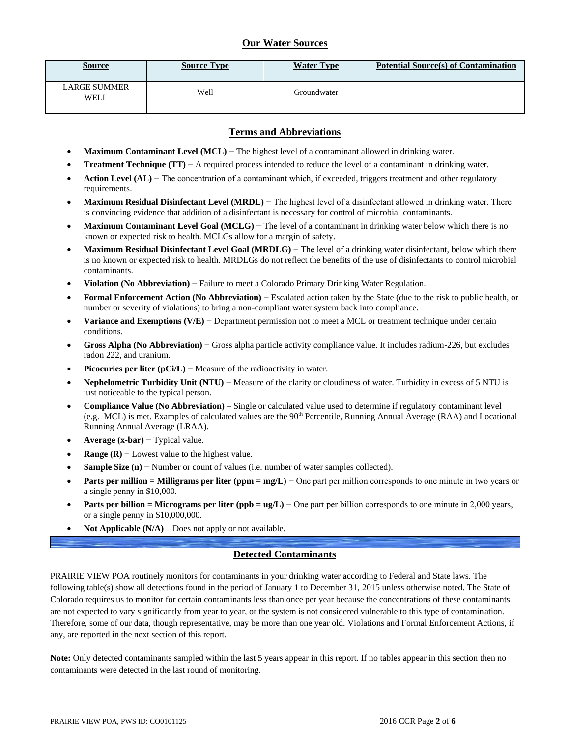## **Our Water Sources**

| <u>Source</u>               | <b>Source Type</b> | <b>Water Type</b> | <b>Potential Source(s) of Contamination</b> |
|-----------------------------|--------------------|-------------------|---------------------------------------------|
| <b>LARGE SUMMER</b><br>WELL | Well               | Groundwater       |                                             |

### **Terms and Abbreviations**

- **Maximum Contaminant Level (MCL)** − The highest level of a contaminant allowed in drinking water.
- **Treatment Technique (TT)** − A required process intended to reduce the level of a contaminant in drinking water.
- **Action Level (AL)** − The concentration of a contaminant which, if exceeded, triggers treatment and other regulatory requirements.
- **Maximum Residual Disinfectant Level (MRDL)** − The highest level of a disinfectant allowed in drinking water. There is convincing evidence that addition of a disinfectant is necessary for control of microbial contaminants.
- **Maximum Contaminant Level Goal (MCLG)** − The level of a contaminant in drinking water below which there is no known or expected risk to health. MCLGs allow for a margin of safety.
- **Maximum Residual Disinfectant Level Goal (MRDLG)** − The level of a drinking water disinfectant, below which there is no known or expected risk to health. MRDLGs do not reflect the benefits of the use of disinfectants to control microbial contaminants.
- **Violation (No Abbreviation)** − Failure to meet a Colorado Primary Drinking Water Regulation.
- **Formal Enforcement Action (No Abbreviation)** − Escalated action taken by the State (due to the risk to public health, or number or severity of violations) to bring a non-compliant water system back into compliance.
- **Variance and Exemptions (V/E)** − Department permission not to meet a MCL or treatment technique under certain conditions.
- **Gross Alpha (No Abbreviation)** − Gross alpha particle activity compliance value. It includes radium-226, but excludes radon 222, and uranium.
- **Picocuries per liter (pCi/L)** − Measure of the radioactivity in water.
- **Nephelometric Turbidity Unit (NTU)** − Measure of the clarity or cloudiness of water. Turbidity in excess of 5 NTU is just noticeable to the typical person.
- **Compliance Value (No Abbreviation)** Single or calculated value used to determine if regulatory contaminant level (e.g. MCL) is met. Examples of calculated values are the 90<sup>th</sup> Percentile, Running Annual Average (RAA) and Locational Running Annual Average (LRAA).
- **Average (x-bar)** − Typical value.
- **Range (R)**  $-$  Lowest value to the highest value.
- **Sample Size (n)** − Number or count of values (i.e. number of water samples collected).
- **Parts per million = Milligrams per liter (ppm = mg/L)** − One part per million corresponds to one minute in two years or a single penny in \$10,000.
- **Parts per billion = Micrograms per liter (ppb = ug/L)** − One part per billion corresponds to one minute in 2,000 years, or a single penny in \$10,000,000.
- **Not Applicable**  $(N/A)$  Does not apply or not available.

## **Detected Contaminants**

PRAIRIE VIEW POA routinely monitors for contaminants in your drinking water according to Federal and State laws. The following table(s) show all detections found in the period of January 1 to December 31, 2015 unless otherwise noted. The State of Colorado requires us to monitor for certain contaminants less than once per year because the concentrations of these contaminants are not expected to vary significantly from year to year, or the system is not considered vulnerable to this type of contamination. Therefore, some of our data, though representative, may be more than one year old. Violations and Formal Enforcement Actions, if any, are reported in the next section of this report.

**Note:** Only detected contaminants sampled within the last 5 years appear in this report. If no tables appear in this section then no contaminants were detected in the last round of monitoring.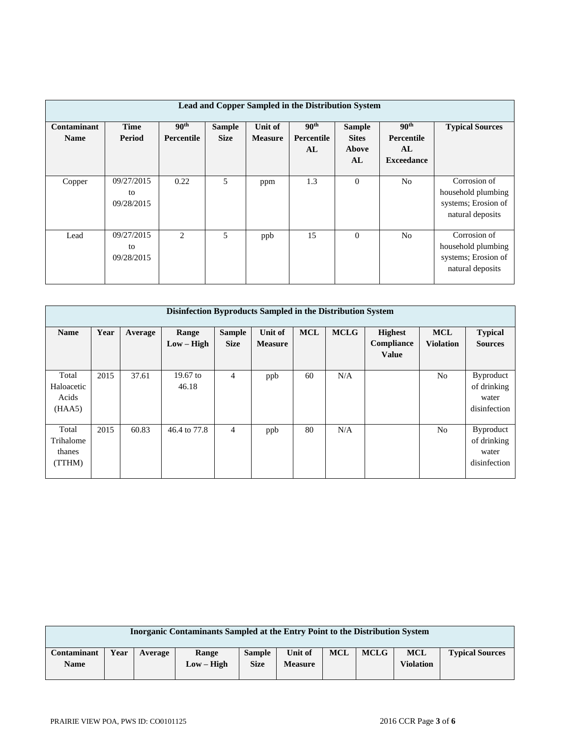| Lead and Copper Sampled in the Distribution System |                                |                                       |                              |                           |                                      |                                              |                                                           |                                                                               |  |  |
|----------------------------------------------------|--------------------------------|---------------------------------------|------------------------------|---------------------------|--------------------------------------|----------------------------------------------|-----------------------------------------------------------|-------------------------------------------------------------------------------|--|--|
| Contaminant<br><b>Name</b>                         | <b>Time</b><br>Period          | 90 <sup>th</sup><br><b>Percentile</b> | <b>Sample</b><br><b>Size</b> | Unit of<br><b>Measure</b> | 90 <sup>th</sup><br>Percentile<br>AL | <b>Sample</b><br><b>Sites</b><br>Above<br>AL | 90 <sup>th</sup><br>Percentile<br>AL<br><b>Exceedance</b> | <b>Typical Sources</b>                                                        |  |  |
| Copper                                             | 09/27/2015<br>to<br>09/28/2015 | 0.22                                  | 5                            | ppm                       | 1.3                                  | $\mathbf{0}$                                 | N <sub>0</sub>                                            | Corrosion of<br>household plumbing<br>systems; Erosion of<br>natural deposits |  |  |
| Lead                                               | 09/27/2015<br>to<br>09/28/2015 | 2                                     | 5                            | ppb                       | 15                                   | $\Omega$                                     | N <sub>o</sub>                                            | Corrosion of<br>household plumbing<br>systems; Erosion of<br>natural deposits |  |  |

| Disinfection Byproducts Sampled in the Distribution System |      |         |                       |                              |                           |            |             |                                              |                                |                                                          |  |
|------------------------------------------------------------|------|---------|-----------------------|------------------------------|---------------------------|------------|-------------|----------------------------------------------|--------------------------------|----------------------------------------------------------|--|
| <b>Name</b>                                                | Year | Average | Range<br>$Low - High$ | <b>Sample</b><br><b>Size</b> | Unit of<br><b>Measure</b> | <b>MCL</b> | <b>MCLG</b> | <b>Highest</b><br>Compliance<br><b>Value</b> | <b>MCL</b><br><b>Violation</b> | <b>Typical</b><br><b>Sources</b>                         |  |
| Total<br>Haloacetic<br>Acids<br>(HAA5)                     | 2015 | 37.61   | $19.67$ to<br>46.18   | 4                            | ppb                       | 60         | N/A         |                                              | N <sub>0</sub>                 | <b>Byproduct</b><br>of drinking<br>water<br>disinfection |  |
| Total<br>Trihalome<br>thanes<br>(TTHM)                     | 2015 | 60.83   | 46.4 to 77.8          | 4                            | ppb                       | 80         | N/A         |                                              | N <sub>0</sub>                 | Byproduct<br>of drinking<br>water<br>disinfection        |  |

| Inorganic Contaminants Sampled at the Entry Point to the Distribution System |      |         |              |               |                |            |             |                  |                        |
|------------------------------------------------------------------------------|------|---------|--------------|---------------|----------------|------------|-------------|------------------|------------------------|
| Contaminant                                                                  | Year | Average | Range        | <b>Sample</b> | Unit of        | <b>MCL</b> | <b>MCLG</b> | <b>MCL</b>       | <b>Typical Sources</b> |
| <b>Name</b>                                                                  |      |         | $Low - High$ | <b>Size</b>   | <b>Measure</b> |            |             | <b>Violation</b> |                        |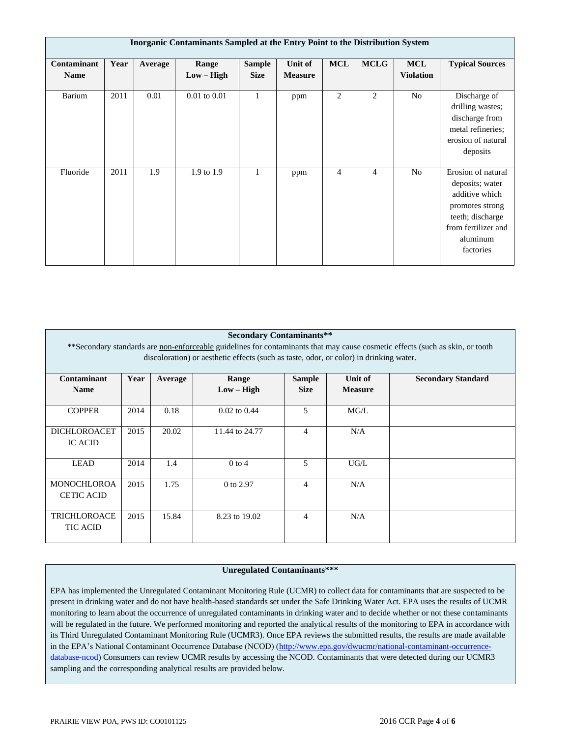| <b>Inorganic Contaminants Sampled at the Entry Point to the Distribution System</b> |      |         |                       |                              |                           |                |                |                                |                                                                                                                                                |
|-------------------------------------------------------------------------------------|------|---------|-----------------------|------------------------------|---------------------------|----------------|----------------|--------------------------------|------------------------------------------------------------------------------------------------------------------------------------------------|
| Contaminant<br><b>Name</b>                                                          | Year | Average | Range<br>$Low - High$ | <b>Sample</b><br><b>Size</b> | Unit of<br><b>Measure</b> | <b>MCL</b>     | <b>MCLG</b>    | <b>MCL</b><br><b>Violation</b> | <b>Typical Sources</b>                                                                                                                         |
| Barium                                                                              | 2011 | 0.01    | $0.01$ to $0.01$      | 1                            | ppm                       | $\overline{2}$ | 2              | No                             | Discharge of<br>drilling wastes;<br>discharge from<br>metal refineries;<br>erosion of natural<br>deposits                                      |
| Fluoride                                                                            | 2011 | 1.9     | 1.9 to 1.9            |                              | ppm                       | 4              | $\overline{4}$ | N <sub>o</sub>                 | Erosion of natural<br>deposits; water<br>additive which<br>promotes strong<br>teeth; discharge<br>from fertilizer and<br>aluminum<br>factories |

| <b>Secondary Contaminants**</b> |                                                                                                                                |         |                |                |                |                           |  |  |  |  |  |
|---------------------------------|--------------------------------------------------------------------------------------------------------------------------------|---------|----------------|----------------|----------------|---------------------------|--|--|--|--|--|
|                                 | ** Secondary standards are non-enforceable guidelines for contaminants that may cause cosmetic effects (such as skin, or tooth |         |                |                |                |                           |  |  |  |  |  |
|                                 | discoloration) or aesthetic effects (such as taste, odor, or color) in drinking water.                                         |         |                |                |                |                           |  |  |  |  |  |
|                                 |                                                                                                                                |         |                |                |                |                           |  |  |  |  |  |
| Contaminant                     | Year                                                                                                                           | Average | Range          | <b>Sample</b>  | Unit of        | <b>Secondary Standard</b> |  |  |  |  |  |
| <b>Name</b>                     |                                                                                                                                |         | $Low - High$   | <b>Size</b>    | <b>Measure</b> |                           |  |  |  |  |  |
|                                 |                                                                                                                                |         |                |                |                |                           |  |  |  |  |  |
| <b>COPPER</b>                   | 2014                                                                                                                           | 0.18    | $0.02$ to 0.44 | 5              | MG/L           |                           |  |  |  |  |  |
|                                 |                                                                                                                                |         |                |                |                |                           |  |  |  |  |  |
| <b>DICHLOROACET</b>             | 2015                                                                                                                           | 20.02   | 11.44 to 24.77 | $\overline{4}$ | N/A            |                           |  |  |  |  |  |
| <b>IC ACID</b>                  |                                                                                                                                |         |                |                |                |                           |  |  |  |  |  |
|                                 |                                                                                                                                |         |                |                |                |                           |  |  |  |  |  |
| <b>LEAD</b>                     | 2014                                                                                                                           | 1.4     | $0$ to 4       | 5              | UG/L           |                           |  |  |  |  |  |
|                                 |                                                                                                                                |         |                |                |                |                           |  |  |  |  |  |
| <b>MONOCHLOROA</b>              | 2015                                                                                                                           | 1.75    | 0 to 2.97      | $\overline{4}$ | N/A            |                           |  |  |  |  |  |
| <b>CETIC ACID</b>               |                                                                                                                                |         |                |                |                |                           |  |  |  |  |  |
|                                 |                                                                                                                                |         |                |                |                |                           |  |  |  |  |  |
| <b>TRICHLOROACE</b>             | 2015                                                                                                                           | 15.84   | 8.23 to 19.02  | $\overline{4}$ | N/A            |                           |  |  |  |  |  |
| <b>TIC ACID</b>                 |                                                                                                                                |         |                |                |                |                           |  |  |  |  |  |
|                                 |                                                                                                                                |         |                |                |                |                           |  |  |  |  |  |

### **Unregulated Contaminants\*\*\***

EPA has implemented the Unregulated Contaminant Monitoring Rule (UCMR) to collect data for contaminants that are suspected to be present in drinking water and do not have health-based standards set under the Safe Drinking Water Act. EPA uses the results of UCMR monitoring to learn about the occurrence of unregulated contaminants in drinking water and to decide whether or not these contaminants will be regulated in the future. We performed monitoring and reported the analytical results of the monitoring to EPA in accordance with its Third Unregulated Contaminant Monitoring Rule (UCMR3). Once EPA reviews the submitted results, the results are made available in the EPA's National Contaminant Occurrence Database (NCOD) [\(http://www.epa.gov/dwucmr/national-contaminant-occurrence](http://www.epa.gov/dwucmr/national-contaminant-occurrence-database-ncod)[database-ncod\)](http://www.epa.gov/dwucmr/national-contaminant-occurrence-database-ncod) Consumers can review UCMR results by accessing the NCOD. Contaminants that were detected during our UCMR3 sampling and the corresponding analytical results are provided below.